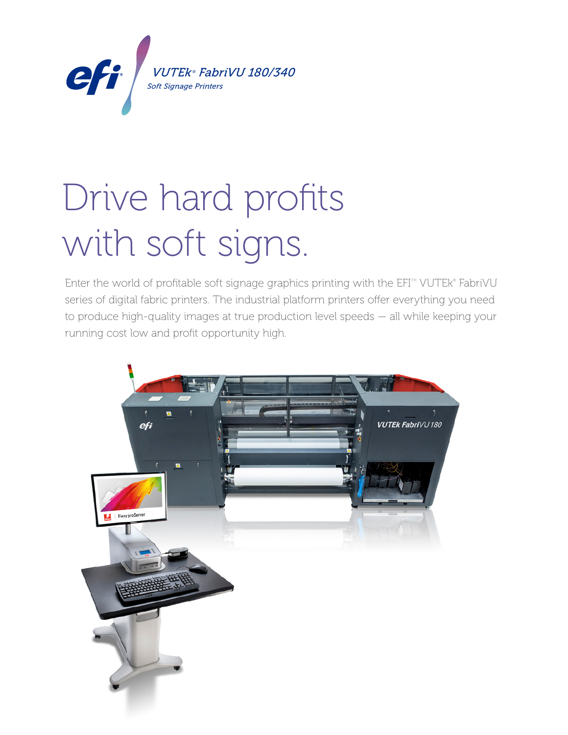

# **Drive hard profits** with soft signs.

Enter the world of profitable soft signage graphics printing with the  $EFI^{m}$  VUTEk® FabriVU series of digital fabric printers. The industrial platform printers offer everything you need to produce high-quality images at true production level speeds — all while keeping your running cost low and profit opportunity high.

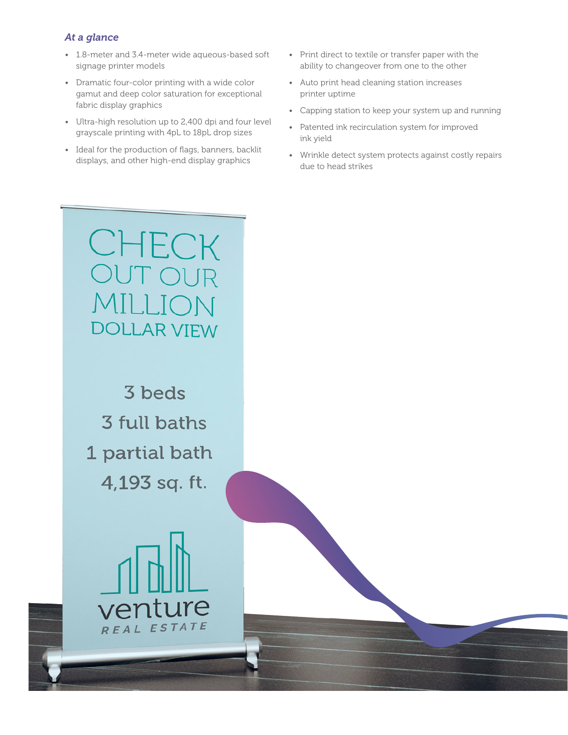## *At a glance*

- 1.8-meter and 3.4-meter wide aqueous-based soft signage printer models
- Dramatic four-color printing with a wide color gamut and deep color saturation for exceptional fabric display graphics
- Ultra-high resolution up to 2,400 dpi and four level grayscale printing with 4pL to 18pL drop sizes
- Ideal for the production of flags, banners, backlit displays, and other high-end display graphics
- Print direct to textile or transfer paper with the ability to changeover from one to the other
- Auto print head cleaning station increases printer uptime
- Capping station to keep your system up and running
- Patented ink recirculation system for improved ink yield
- Wrinkle detect system protects against costly repairs due to head strikes

CHECK II ION **DOLLAR VIEW** 

3 beds 3 full baths 1 partial bath 4,193 sq. ft.

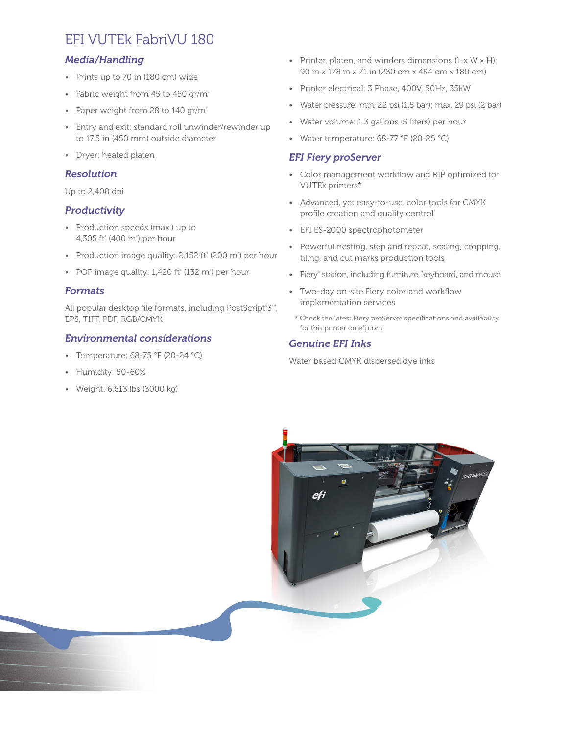## EFI VUTEk FabriVU 180

## *Media/Handling*

- Prints up to 70 in (180 cm) wide
- Fabric weight from 45 to 450  $gr/m^2$
- Paper weight from 28 to  $140$  gr/m<sup>2</sup>
- Entry and exit: standard roll unwinder/rewinder up to 17.5 in (450 mm) outside diameter
- Dryer: heated platen

## *Resolution*

Up to 2,400 dpi

## *Productivity*

- Production speeds (max.) up to 4,305 ft² (400 m²) per hour
- Production image quality: 2,152 ft<sup>2</sup> (200 m<sup>2</sup>) per hour
- POP image quality:  $1,420$  ft<sup>2</sup> (132 m<sup>2</sup>) per hour

## *Formats*

All popular desktop file formats, including PostScript°3<sup>™</sup>, EPS, TIFF, PDF, RGB/CMYK

## *Environmental considerations*

- Temperature: 68-75 °F (20-24 °C)
- Humidity: 50-60%
- Weight: 6,613 lbs (3000 kg)
- Printer, platen, and winders dimensions (L x W x H): 90 in x 178 in x 71 in (230 cm x 454 cm x 180 cm)
- Printer electrical: 3 Phase, 400V, 50Hz, 35kW
- Water pressure: min. 22 psi (1.5 bar); max. 29 psi (2 bar)
- Water volume: 1.3 gallons (5 liters) per hour
- Water temperature: 68-77 °F (20-25 °C)

## *EFI Fiery proServer*

- Color management workflow and RIP optimized for VUTEk printers\*
- Advanced, yet easy-to-use, color tools for CMYK profile creation and quality control
- EFI ES-2000 spectrophotometer
- Powerful nesting, step and repeat, scaling, cropping, tiling, and cut marks production tools
- Fiery® station, including furniture, keyboard, and mouse
- Two-day on-site Fiery color and workflow implementation services
	- \* Check the latest Fiery proServer specifications and availability for this printer on efi.com

## *Genuine EFI Inks*

Water based CMYK dispersed dye inks